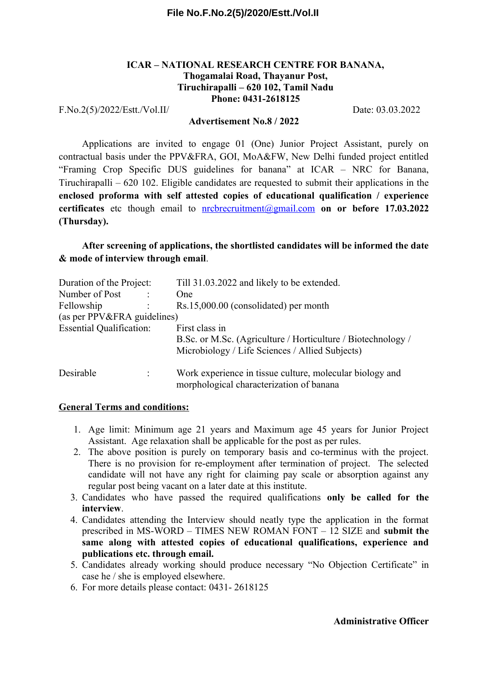#### **File No.F.No.2(5)/2020/Estt./Vol.II**

#### **ICAR – NATIONAL RESEARCH CENTRE FOR BANANA, Thogamalai Road, Thayanur Post, Tiruchirapalli – 620 102, Tamil Nadu Phone: 0431-2618125**

F.No.2(5)/2022/Estt./Vol.II/ Date: 03.03.2022

#### **Advertisement No.8 / 2022**

Applications are invited to engage 01 (One) Junior Project Assistant, purely on contractual basis under the PPV&FRA, GOI, MoA&FW, New Delhi funded project entitled "Framing Crop Specific DUS guidelines for banana" at ICAR – NRC for Banana, Tiruchirapalli – 620 102. Eligible candidates are requested to submit their applications in the **enclosed proforma with self attested copies of educational qualification / experience certificates** etc though email to [nrcbrecruitment@gmail.com](mailto:nrcbrecruitment@gmail.com) **on or before 17.03.2022 (Thursday).** 

## **After screening of applications, the shortlisted candidates will be informed the date & mode of interview through email**.

| Duration of the Project:        |  | Till 31.03.2022 and likely to be extended.                   |
|---------------------------------|--|--------------------------------------------------------------|
| Number of Post                  |  | One                                                          |
| Fellowship                      |  | Rs.15,000.00 (consolidated) per month                        |
| (as per PPV&FRA guidelines)     |  |                                                              |
| <b>Essential Qualification:</b> |  | First class in                                               |
|                                 |  | B.Sc. or M.Sc. (Agriculture / Horticulture / Biotechnology / |
|                                 |  | Microbiology / Life Sciences / Allied Subjects)              |
| Desirable                       |  | Work experience in tissue culture, molecular biology and     |
|                                 |  | morphological characterization of banana                     |

#### **General Terms and conditions:**

- 1. Age limit: Minimum age 21 years and Maximum age 45 years for Junior Project Assistant. Age relaxation shall be applicable for the post as per rules.
- 2. The above position is purely on temporary basis and co-terminus with the project. There is no provision for re-employment after termination of project. The selected candidate will not have any right for claiming pay scale or absorption against any regular post being vacant on a later date at this institute.
- 3. Candidates who have passed the required qualifications **only be called for the interview**.
- 4. Candidates attending the Interview should neatly type the application in the format prescribed in MS-WORD – TIMES NEW ROMAN FONT – 12 SIZE and **submit the same along with attested copies of educational qualifications, experience and publications etc. through email.**
- 5. Candidates already working should produce necessary "No Objection Certificate" in case he / she is employed elsewhere.
- 6. For more details please contact: 0431- 2618125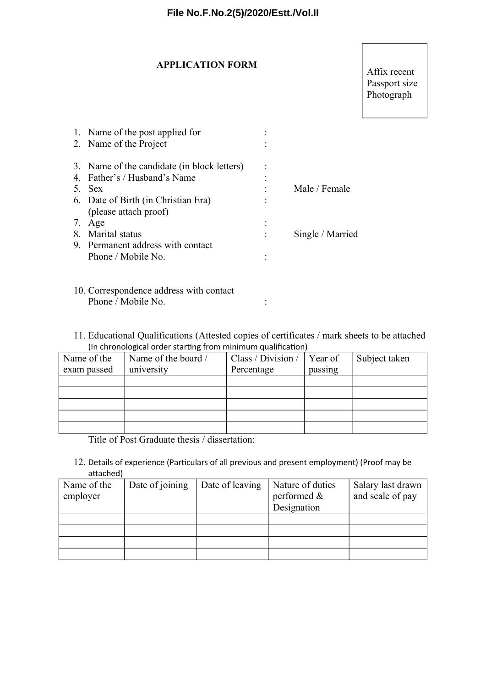#### **APPLICATION FORM**

## Affix recent Passport size Photograph

| 1. Name of the post applied for             |                  |
|---------------------------------------------|------------------|
| 2. Name of the Project                      |                  |
| 3. Name of the candidate (in block letters) |                  |
| 4. Father's / Husband's Name                |                  |
| 5. Sex                                      | Male / Female    |
| 6. Date of Birth (in Christian Era)         |                  |
| (please attach proof)                       |                  |
| 7. Age                                      |                  |
| 8. Marital status                           | Single / Married |
| 9. Permanent address with contact           |                  |
| Phone / Mobile No.                          |                  |
|                                             |                  |
| 10. Correspondence address with contact     |                  |
| Phone / Mobile No.                          |                  |

11. Educational Qualifications (Attested copies of certificates / mark sheets to be attached (In chronological order starting from minimum qualification)

| Name of the | Name of the board / | Class / Division / | Year of | Subject taken |
|-------------|---------------------|--------------------|---------|---------------|
| exam passed | university          | Percentage         | passing |               |
|             |                     |                    |         |               |
|             |                     |                    |         |               |
|             |                     |                    |         |               |
|             |                     |                    |         |               |
|             |                     |                    |         |               |

Title of Post Graduate thesis / dissertation:

12. Details of experience (Particulars of all previous and present employment) (Proof may be attached)

| Name of the<br>employer | Date of joining | Date of leaving | Nature of duties<br>performed & | Salary last drawn<br>and scale of pay |
|-------------------------|-----------------|-----------------|---------------------------------|---------------------------------------|
|                         |                 |                 |                                 |                                       |
|                         |                 |                 | Designation                     |                                       |
|                         |                 |                 |                                 |                                       |
|                         |                 |                 |                                 |                                       |
|                         |                 |                 |                                 |                                       |
|                         |                 |                 |                                 |                                       |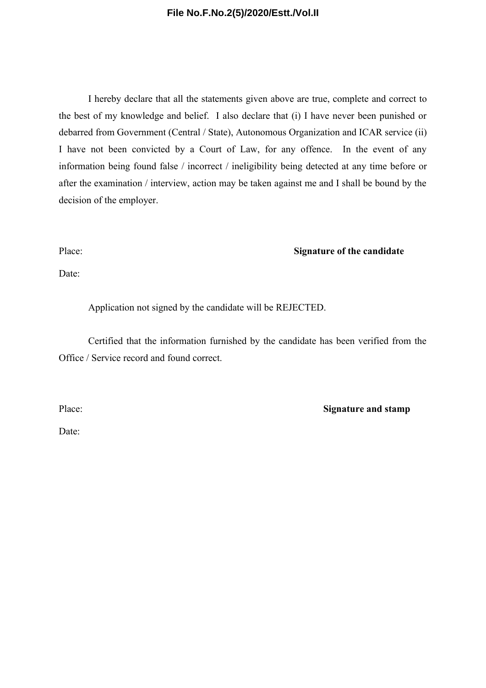#### **File No.F.No.2(5)/2020/Estt./Vol.II**

I hereby declare that all the statements given above are true, complete and correct to the best of my knowledge and belief. I also declare that (i) I have never been punished or debarred from Government (Central / State), Autonomous Organization and ICAR service (ii) I have not been convicted by a Court of Law, for any offence. In the event of any information being found false / incorrect / ineligibility being detected at any time before or after the examination / interview, action may be taken against me and I shall be bound by the decision of the employer.

#### Place: **Signature of the candidate**

Date:

Application not signed by the candidate will be REJECTED.

Certified that the information furnished by the candidate has been verified from the Office / Service record and found correct.

Place: **Signature and stamp** 

Date: